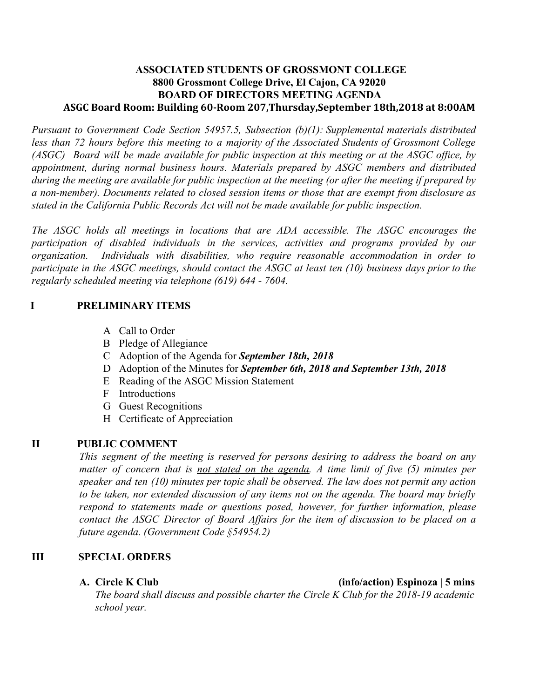## **ASSOCIATED STUDENTS OF GROSSMONT COLLEGE 8800 Grossmont College Drive, El Cajon, CA 92020 BOARD OF DIRECTORS MEETING AGENDA ASGC Board Room: Building 60-Room 207,Thursday,September 18th,2018 at 8:00AM**

*Pursuant to Government Code Section 54957.5, Subsection (b)(1): Supplemental materials distributed less than 72 hours before this meeting to a majority of the Associated Students of Grossmont College* (ASGC) Board will be made available for public inspection at this meeting or at the ASGC office, by *appointment, during normal business hours. Materials prepared by ASGC members and distributed* during the meeting are available for public inspection at the meeting (or after the meeting if prepared by *a non-member). Documents related to closed session items or those that are exempt from disclosure as stated in the California Public Records Act will not be made available for public inspection.* 

*The ASGC holds all meetings in locations that are ADA accessible. The ASGC encourages the participation of disabled individuals in the services, activities and programs provided by our organization. Individuals with disabilities, who require reasonable accommodation in order to* participate in the ASGC meetings, should contact the ASGC at least ten  $(10)$  business days prior to the *regularly scheduled meeting via telephone (619) 644 - 7604.*

# **I PRELIMINARY ITEMS**

- A Call to Order
- B Pledge of Allegiance
- C Adoption of the Agenda for *September 18th, 2018*
- D Adoption of the Minutes for *September 6th, 2018 and September 13th, 2018*
- E Reading of the ASGC Mission Statement
- F Introductions
- G Guest Recognitions
- H Certificate of Appreciation

# **II PUBLIC COMMENT**

*This segment of the meeting is reserved for persons desiring to address the board on any matter of concern that is not stated on the agenda. A time limit of five (5) minutes per speaker and ten (10) minutes per topic shall be observed. The law does not permit any action to be taken, nor extended discussion of any items not on the agenda. The board may briefly respond to statements made or questions posed, however, for further information, please contact the ASGC Director of Board Affairs for the item of discussion to be placed on a future agenda. (Government Code §54954.2)*

### **III SPECIAL ORDERS**

**A. Circle K Club (info/action) Espinoza | 5 mins**

*The board shall discuss and possible charter the Circle K Club for the 2018-19 academic school year.*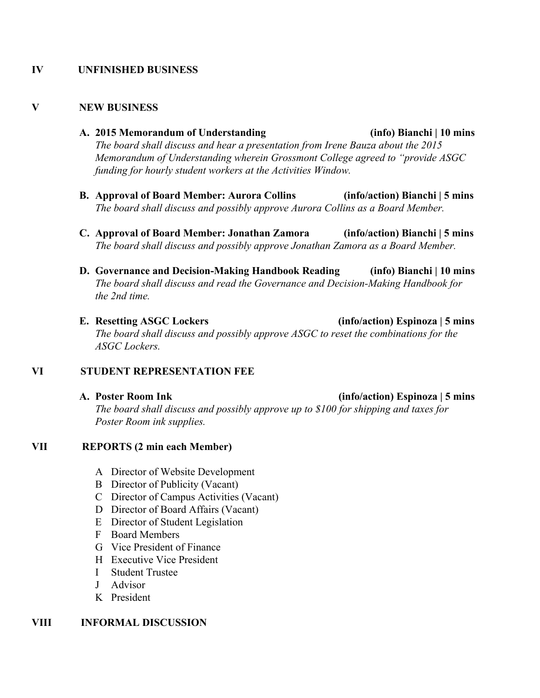### **IV UNFINISHED BUSINESS**

#### **V NEW BUSINESS**

- **A. 2015 Memorandum of Understanding (info) Bianchi | 10 mins** *The board shall discuss and hear a presentation from Irene Bauza about the 2015 Memorandum of Understanding wherein Grossmont College agreed to "provide ASGC funding for hourly student workers at the Activities Window.*
- **B. Approval of Board Member: Aurora Collins (info/action) Bianchi | 5 mins** *The board shall discuss and possibly approve Aurora Collins as a Board Member.*
- **C. Approval of Board Member: Jonathan Zamora (info/action) Bianchi | 5 mins** *The board shall discuss and possibly approve Jonathan Zamora as a Board Member.*
- **D. Governance and Decision-Making Handbook Reading (info) Bianchi | 10 mins** *The board shall discuss and read the Governance and Decision-Making Handbook for the 2nd time.*
- **E. Resetting ASGC Lockers (info/action) Espinoza | 5 mins** *The board shall discuss and possibly approve ASGC to reset the combinations for the ASGC Lockers.*

#### **VI STUDENT REPRESENTATION FEE**

**A. Poster Room Ink (info/action) Espinoza | 5 mins** *The board shall discuss and possibly approve up to \$100 for shipping and taxes for Poster Room ink supplies.*

#### **VII REPORTS (2 min each Member)**

- A Director of Website Development
- B Director of Publicity (Vacant)
- C Director of Campus Activities (Vacant)
- D Director of Board Affairs (Vacant)
- E Director of Student Legislation
- F Board Members
- G Vice President of Finance
- H Executive Vice President
- I Student Trustee
- J Advisor
- K President

#### **VIII INFORMAL DISCUSSION**